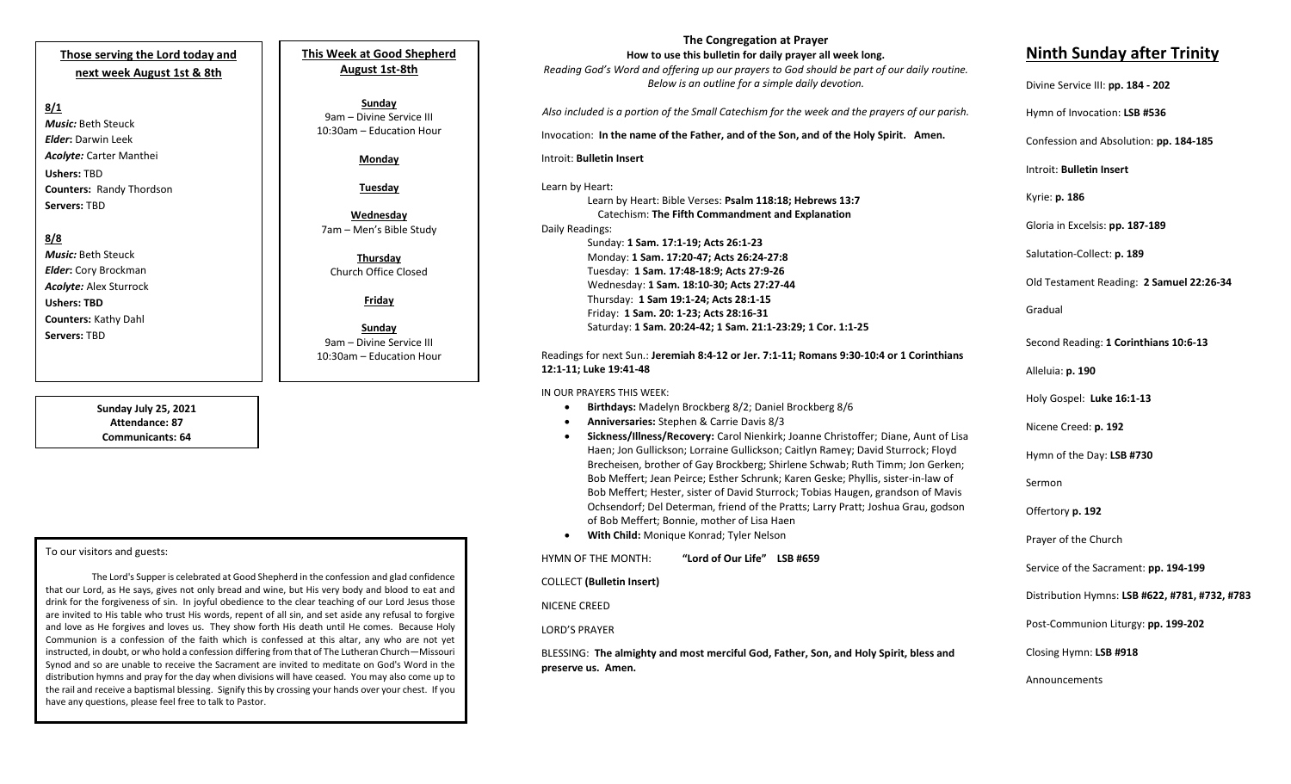## **Those serving the Lord today and next week August 1st & 8th**

#### **8/1**

*Music:* Beth Steuck *Elder***:** Darwin Leek *Acolyte:* Carter Manthei **Ushers:** TBD **Counters:** Randy Thordson **Servers:** TBD

### **8/8**

*Music:* Beth Steuck *Elder***:** Cory Brockman *Acolyte:* Alex Sturrock **Ushers: TBD Counters:** Kathy Dahl **Servers:** TBD

> **Sunday July 25, 2021 Attendance: 87 Communicants: 64**

#### To our visitors and guests:

the rail and receive a baptismal blessing. Signify this by crossing your hands over your chest. If you<br>have any questions, please feel free to talk to Pastor. The Lord's Supper is celebrated at Good Shepherd in the confession and glad confidence that our Lord, as He says, gives not only bread and wine, but His very body and blood to eat and drink for the forgiveness of sin. In joyful obedience to the clear teaching of our Lord Jesus those are invited to His table who trust His words, repent of all sin, and set aside any refusal to forgive and love as He forgives and loves us. They show forth His death until He comes. Because Holy Communion is a confession of the faith which is confessed at this altar, any who are not yet instructed, in doubt, or who hold a confession differing from that of The Lutheran Church—Missouri Synod and so are unable to receive the Sacrament are invited to meditate on God's Word in the distribution hymns and pray for the day when divisions will have ceased. You may also come up to have any questions, please feel free to talk to Pastor.

**This Week at Good Shepherd August 1st-8th**

**Sunday** 9am – Divine Service III 10:30am – Education Hour

#### **Monday**

**Tuesday**

**Wednesday** 7am – Men's Bible Study

**Thursday** Church Office Closed

**Friday**

**Sunday**  9am – Divine Service III 10:30am – Education Hour

**The Congregation at Prayer How to use this bulletin for daily prayer all week long.**

*Reading God's Word and offering up our prayers to God should be part of our daily routine. Below is an outline for a simple daily devotion.*

*Also included is a portion of the Small Catechism for the week and the prayers of our parish.*

Invocation: **In the name of the Father, and of the Son, and of the Holy Spirit. Amen.**

Introit: **Bulletin Insert**

Learn by Heart:

Learn by Heart: Bible Verses: **Psalm 118:18; Hebrews 13:7** Catechism: **The Fifth Commandment and Explanation** Daily Readings: Sunday: **1 Sam. 17:1-19; Acts 26:1-23** Monday: **1 Sam. 17:20-47; Acts 26:24-27:8** Tuesday: **1 Sam. 17:48-18:9; Acts 27:9-26** Wednesday: **1 Sam. 18:10-30; Acts 27:27-44** Thursday: **1 Sam 19:1-24; Acts 28:1-15** Friday: **1 Sam. 20: 1-23; Acts 28:16-31** Saturday: **1 Sam. 20:24-42; 1 Sam. 21:1-23:29; 1 Cor. 1:1-25**

#### Readings for next Sun.: **Jeremiah 8:4-12 or Jer. 7:1-11; Romans 9:30-10:4 or 1 Corinthians 12:1-11; Luke 19:41-48**

IN OUR PRAYERS THIS WEEK:

- **Birthdays:** Madelyn Brockberg 8/2; Daniel Brockberg 8/6
- **Anniversaries:** Stephen & Carrie Davis 8/3
- **Sickness/Illness/Recovery:** Carol Nienkirk; Joanne Christoffer; Diane, Aunt of Lisa Haen; Jon Gullickson; Lorraine Gullickson; Caitlyn Ramey; David Sturrock; Floyd Brecheisen, brother of Gay Brockberg; Shirlene Schwab; Ruth Timm; Jon Gerken; Bob Meffert; Jean Peirce; Esther Schrunk; Karen Geske; Phyllis, sister-in-law of Bob Meffert; Hester, sister of David Sturrock; Tobias Haugen, grandson of Mavis Ochsendorf; Del Determan, friend of the Pratts; Larry Pratt; Joshua Grau, godson of Bob Meffert; Bonnie, mother of Lisa Haen
- **With Child:** Monique Konrad; Tyler Nelson

HYMN OF THE MONTH: **"Lord of Our Life" LSB #659** COLLECT **(Bulletin Insert)** NICENE CREED LORD'S PRAYER

BLESSING: **The almighty and most merciful God, Father, Son, and Holy Spirit, bless and preserve us. Amen.**

# **Ninth Sunday after Trinity** Divine Service III: **pp. 184 - 202**

Hymn of Invocation: **LSB #536**

Confession and Absolution: **pp. 184-185**

Introit: **Bulletin Insert** 

Kyrie: **p. 186**

Gloria in Excelsis: **pp. 187-189**

Salutation-Collect: **p. 189**

Old Testament Reading: **2 Samuel 22:26-34**

Gradual

Second Reading: **1 Corinthians 10:6-13**

Alleluia: **p. 190**

Holy Gospel: **Luke 16:1-13**

Nicene Creed: **p. 192**

Hymn of the Day: **LSB #730**

Sermon

Offertory **p. 192**

Prayer of the Church

Service of the Sacrament: **pp. 194-199**

Distribution Hymns: **LSB #622, #781, #732, #783**

Post-Communion Liturgy: **pp. 199-202** 

Closing Hymn: **LSB #918**

Announcements